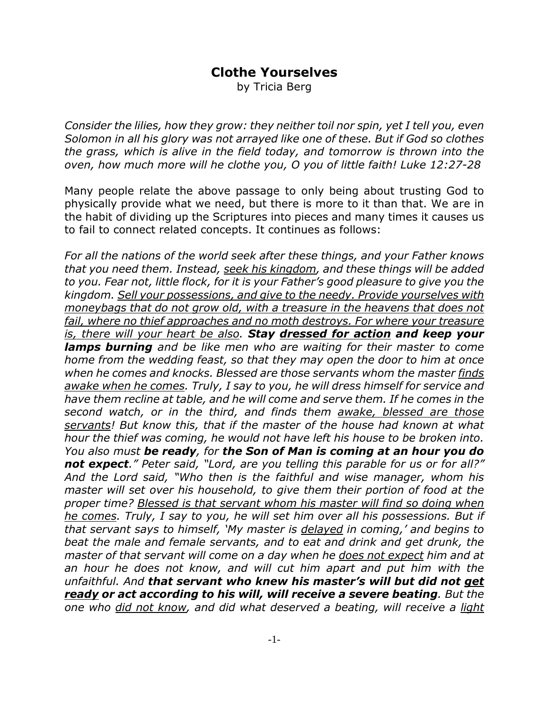## **Clothe Yourselves**

by Tricia Berg

*Consider the lilies, how they grow: they neither toil nor spin, yet I tell you, even Solomon in all his glory was not arrayed like one of these. But if God so clothes the grass, which is alive in the field today, and tomorrow is thrown into the oven, how much more will he clothe you, O you of little faith! Luke 12:27-28*

Many people relate the above passage to only being about trusting God to physically provide what we need, but there is more to it than that. We are in the habit of dividing up the Scriptures into pieces and many times it causes us to fail to connect related concepts. It continues as follows:

*For all the nations of the world seek after these things, and your Father knows that you need them. Instead, seek his kingdom, and these things will be added to you. Fear not, little flock, for it is your Father's good pleasure to give you the kingdom. Sell your possessions, and give to the needy. Provide yourselves with moneybags that do not grow old, with a treasure in the heavens that does not fail, where no thief approaches and no moth destroys. For where your treasure is, there will your heart be also. Stay dressed for action and keep your lamps burning and be like men who are waiting for their master to come home from the wedding feast, so that they may open the door to him at once when he comes and knocks. Blessed are those servants whom the master finds awake when he comes. Truly, I say to you, he will dress himself for service and have them recline at table, and he will come and serve them. If he comes in the second watch, or in the third, and finds them awake, blessed are those servants! But know this, that if the master of the house had known at what hour the thief was coming, he would not have left his house to be broken into. You also must be ready, for the Son of Man is coming at an hour you do not expect." Peter said, "Lord, are you telling this parable for us or for all?" And the Lord said, "Who then is the faithful and wise manager, whom his master will set over his household, to give them their portion of food at the proper time? Blessed is that servant whom his master will find so doing when he comes. Truly, I say to you, he will set him over all his possessions. But if that servant says to himself, 'My master is delayed in coming,' and begins to beat the male and female servants, and to eat and drink and get drunk, the master of that servant will come on a day when he does not expect him and at an hour he does not know, and will cut him apart and put him with the unfaithful. And that servant who knew his master's will but did not get ready or act according to his will, will receive a severe beating. But the one who did not know, and did what deserved a beating, will receive a light*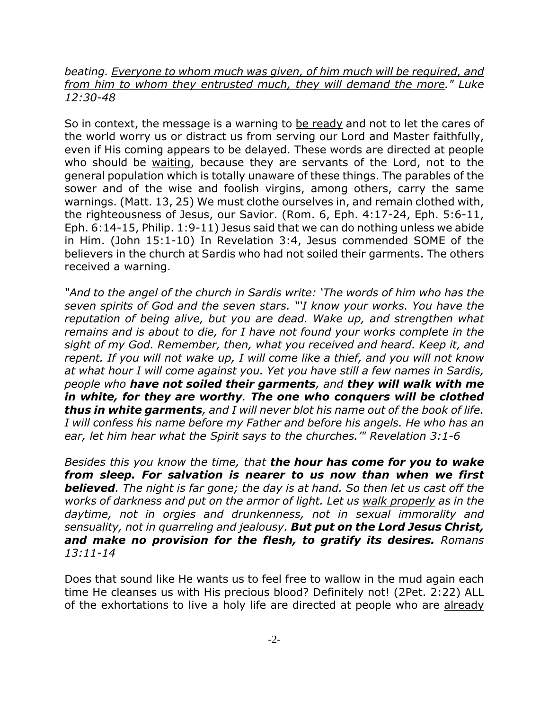## *beating. Everyone to whom much was given, of him much will be required, and from him to whom they entrusted much, they will demand the more." Luke 12:30-48*

So in context, the message is a warning to be ready and not to let the cares of the world worry us or distract us from serving our Lord and Master faithfully, even if His coming appears to be delayed. These words are directed at people who should be waiting, because they are servants of the Lord, not to the general population which is totally unaware of these things. The parables of the sower and of the wise and foolish virgins, among others, carry the same warnings. (Matt. 13, 25) We must clothe ourselves in, and remain clothed with, the righteousness of Jesus, our Savior. (Rom. 6, Eph. 4:17-24, Eph. 5:6-11, Eph. 6:14-15, Philip. 1:9-11) Jesus said that we can do nothing unless we abide in Him. (John 15:1-10) In Revelation 3:4, Jesus commended SOME of the believers in the church at Sardis who had not soiled their garments. The others received a warning.

*"And to the angel of the church in Sardis write: 'The words of him who has the seven spirits of God and the seven stars. "'I know your works. You have the reputation of being alive, but you are dead. Wake up, and strengthen what remains and is about to die, for I have not found your works complete in the sight of my God. Remember, then, what you received and heard. Keep it, and repent. If you will not wake up, I will come like a thief, and you will not know at what hour I will come against you. Yet you have still a few names in Sardis, people who have not soiled their garments, and they will walk with me in white, for they are worthy. The one who conquers will be clothed thus in white garments, and I will never blot his name out of the book of life. I will confess his name before my Father and before his angels. He who has an ear, let him hear what the Spirit says to the churches.'" Revelation 3:1-6*

*Besides this you know the time, that the hour has come for you to wake from sleep. For salvation is nearer to us now than when we first believed. The night is far gone; the day is at hand. So then let us cast off the works of darkness and put on the armor of light. Let us walk properly as in the daytime, not in orgies and drunkenness, not in sexual immorality and sensuality, not in quarreling and jealousy. But put on the Lord Jesus Christ, and make no provision for the flesh, to gratify its desires. Romans 13:11-14*

Does that sound like He wants us to feel free to wallow in the mud again each time He cleanses us with His precious blood? Definitely not! (2Pet. 2:22) ALL of the exhortations to live a holy life are directed at people who are already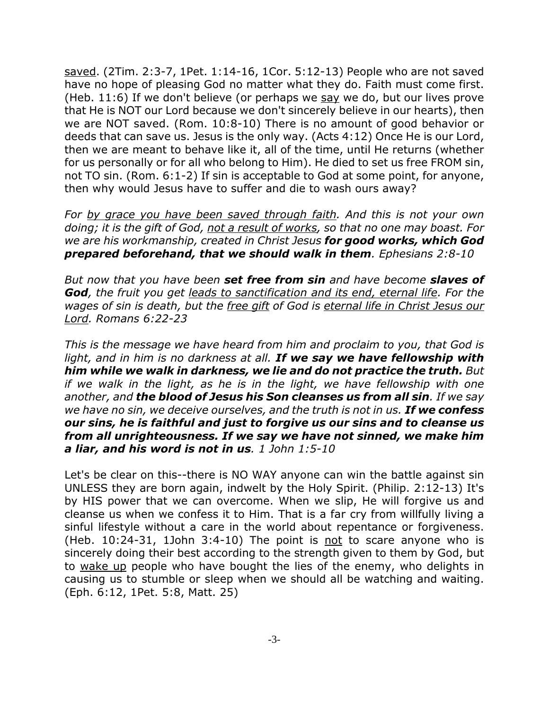saved. (2Tim. 2:3-7, 1Pet. 1:14-16, 1Cor. 5:12-13) People who are not saved have no hope of pleasing God no matter what they do. Faith must come first. (Heb. 11:6) If we don't believe (or perhaps we say we do, but our lives prove that He is NOT our Lord because we don't sincerely believe in our hearts), then we are NOT saved. (Rom. 10:8-10) There is no amount of good behavior or deeds that can save us. Jesus is the only way. (Acts 4:12) Once He is our Lord, then we are meant to behave like it, all of the time, until He returns (whether for us personally or for all who belong to Him). He died to set us free FROM sin, not TO sin. (Rom. 6:1-2) If sin is acceptable to God at some point, for anyone, then why would Jesus have to suffer and die to wash ours away?

*For by grace you have been saved through faith. And this is not your own doing; it is the gift of God, not a result of works, so that no one may boast. For we are his workmanship, created in Christ Jesus for good works, which God prepared beforehand, that we should walk in them. Ephesians 2:8-10*

*But now that you have been set free from sin and have become slaves of God, the fruit you get leads to sanctification and its end, eternal life. For the wages of sin is death, but the free gift of God is eternal life in Christ Jesus our Lord. Romans 6:22-23*

*This is the message we have heard from him and proclaim to you, that God is light, and in him is no darkness at all. If we say we have fellowship with him while we walk in darkness, we lie and do not practice the truth. But if we walk in the light, as he is in the light, we have fellowship with one another, and the blood of Jesus his Son cleanses us from all sin. If we say we have no sin, we deceive ourselves, and the truth is not in us. If we confess our sins, he is faithful and just to forgive us our sins and to cleanse us from all unrighteousness. If we say we have not sinned, we make him a liar, and his word is not in us. 1 John 1:5-10*

Let's be clear on this--there is NO WAY anyone can win the battle against sin UNLESS they are born again, indwelt by the Holy Spirit. (Philip. 2:12-13) It's by HIS power that we can overcome. When we slip, He will forgive us and cleanse us when we confess it to Him. That is a far cry from willfully living a sinful lifestyle without a care in the world about repentance or forgiveness. (Heb.  $10:24-31$ , 1John  $3:4-10$ ) The point is not to scare anyone who is sincerely doing their best according to the strength given to them by God, but to wake up people who have bought the lies of the enemy, who delights in causing us to stumble or sleep when we should all be watching and waiting. (Eph. 6:12, 1Pet. 5:8, Matt. 25)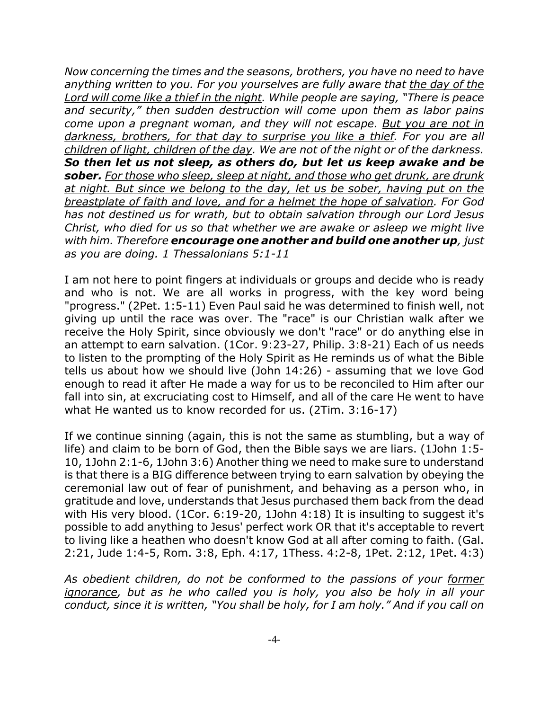*Now concerning the times and the seasons, brothers, you have no need to have anything written to you. For you yourselves are fully aware that the day of the Lord will come like a thief in the night. While people are saying, "There is peace and security," then sudden destruction will come upon them as labor pains come upon a pregnant woman, and they will not escape. But you are not in darkness, brothers, for that day to surprise you like a thief. For you are all children of light, children of the day. We are not of the night or of the darkness. So then let us not sleep, as others do, but let us keep awake and be sober. For those who sleep, sleep at night, and those who get drunk, are drunk at night. But since we belong to the day, let us be sober, having put on the breastplate of faith and love, and for a helmet the hope of salvation. For God has not destined us for wrath, but to obtain salvation through our Lord Jesus Christ, who died for us so that whether we are awake or asleep we might live with him. Therefore encourage one another and build one another up, just as you are doing. 1 Thessalonians 5:1-11*

I am not here to point fingers at individuals or groups and decide who is ready and who is not. We are all works in progress, with the key word being "progress." (2Pet. 1:5-11) Even Paul said he was determined to finish well, not giving up until the race was over. The "race" is our Christian walk after we receive the Holy Spirit, since obviously we don't "race" or do anything else in an attempt to earn salvation. (1Cor. 9:23-27, Philip. 3:8-21) Each of us needs to listen to the prompting of the Holy Spirit as He reminds us of what the Bible tells us about how we should live (John 14:26) - assuming that we love God enough to read it after He made a way for us to be reconciled to Him after our fall into sin, at excruciating cost to Himself, and all of the care He went to have what He wanted us to know recorded for us. (2Tim. 3:16-17)

If we continue sinning (again, this is not the same as stumbling, but a way of life) and claim to be born of God, then the Bible says we are liars. (1John 1:5- 10, 1John 2:1-6, 1John 3:6) Another thing we need to make sure to understand is that there is a BIG difference between trying to earn salvation by obeying the ceremonial law out of fear of punishment, and behaving as a person who, in gratitude and love, understands that Jesus purchased them back from the dead with His very blood. (1Cor. 6:19-20, 1John 4:18) It is insulting to suggest it's possible to add anything to Jesus' perfect work OR that it's acceptable to revert to living like a heathen who doesn't know God at all after coming to faith. (Gal. 2:21, Jude 1:4-5, Rom. 3:8, Eph. 4:17, 1Thess. 4:2-8, 1Pet. 2:12, 1Pet. 4:3)

*As obedient children, do not be conformed to the passions of your former ignorance, but as he who called you is holy, you also be holy in all your conduct, since it is written, "You shall be holy, for I am holy." And if you call on*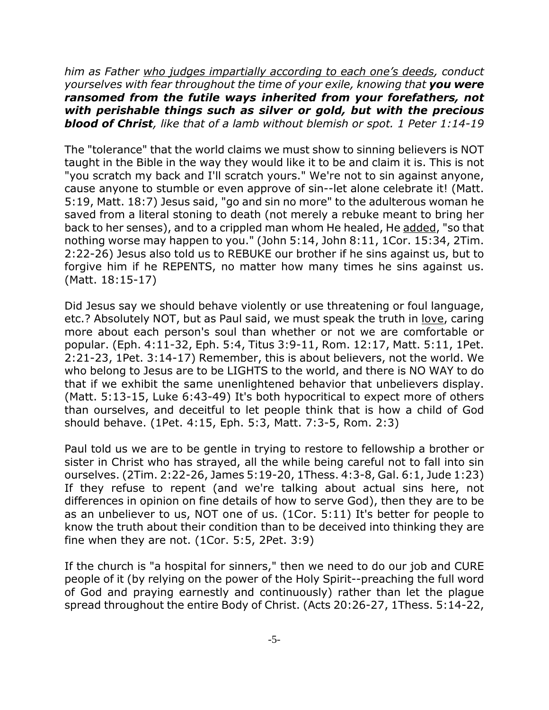*him as Father who judges impartially according to each one's deeds, conduct yourselves with fear throughout the time of your exile, knowing that you were ransomed from the futile ways inherited from your forefathers, not with perishable things such as silver or gold, but with the precious blood of Christ, like that of a lamb without blemish or spot. 1 Peter 1:14-19*

The "tolerance" that the world claims we must show to sinning believers is NOT taught in the Bible in the way they would like it to be and claim it is. This is not "you scratch my back and I'll scratch yours." We're not to sin against anyone, cause anyone to stumble or even approve of sin--let alone celebrate it! (Matt. 5:19, Matt. 18:7) Jesus said, "go and sin no more" to the adulterous woman he saved from a literal stoning to death (not merely a rebuke meant to bring her back to her senses), and to a crippled man whom He healed, He added, "so that nothing worse may happen to you." (John 5:14, John 8:11, 1Cor. 15:34, 2Tim. 2:22-26) Jesus also told us to REBUKE our brother if he sins against us, but to forgive him if he REPENTS, no matter how many times he sins against us. (Matt. 18:15-17)

Did Jesus say we should behave violently or use threatening or foul language, etc.? Absolutely NOT, but as Paul said, we must speak the truth in love, caring more about each person's soul than whether or not we are comfortable or popular. (Eph. 4:11-32, Eph. 5:4, Titus 3:9-11, Rom. 12:17, Matt. 5:11, 1Pet. 2:21-23, 1Pet. 3:14-17) Remember, this is about believers, not the world. We who belong to Jesus are to be LIGHTS to the world, and there is NO WAY to do that if we exhibit the same unenlightened behavior that unbelievers display. (Matt. 5:13-15, Luke 6:43-49) It's both hypocritical to expect more of others than ourselves, and deceitful to let people think that is how a child of God should behave. (1Pet. 4:15, Eph. 5:3, Matt. 7:3-5, Rom. 2:3)

Paul told us we are to be gentle in trying to restore to fellowship a brother or sister in Christ who has strayed, all the while being careful not to fall into sin ourselves. (2Tim. 2:22-26, James 5:19-20, 1Thess. 4:3-8, Gal. 6:1, Jude 1:23) If they refuse to repent (and we're talking about actual sins here, not differences in opinion on fine details of how to serve God), then they are to be as an unbeliever to us, NOT one of us. (1Cor. 5:11) It's better for people to know the truth about their condition than to be deceived into thinking they are fine when they are not. (1Cor. 5:5, 2Pet. 3:9)

If the church is "a hospital for sinners," then we need to do our job and CURE people of it (by relying on the power of the Holy Spirit--preaching the full word of God and praying earnestly and continuously) rather than let the plague spread throughout the entire Body of Christ. (Acts 20:26-27, 1Thess. 5:14-22,